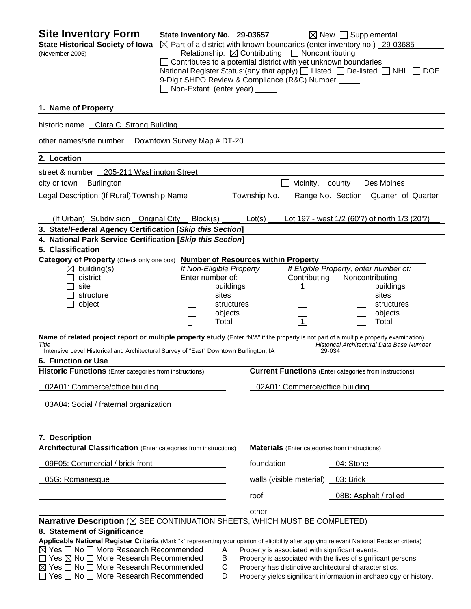**Site Inventory Form** State Inventory No. 29-03657  $\boxtimes$  New  $\Box$  Supplemental **State Historical Society of Iowa**  $\boxtimes$  Part of a district with known boundaries (enter inventory no.) 29-03685 (November 2005) Relationship:ContributingNoncontributing □ Contributes to a potential district with yet unknown boundaries National Register Status:(any that apply)  $\Box$  Listed  $\Box$  De-listed  $\Box$  NHL  $\Box$  DOE 9-Digit SHPO Review & Compliance (R&C) Number Non-Extant (enter year) **1. Name of Property**  historic name Clara C. Strong Building other names/site number <u>Downtown Survey Map # DT-20</u> **2. Location**  street & number 205-211 Washington Street city or town Burlington vicinity, county Des Moines Legal Description: (If Rural) Township Name Township No. Range No. Section Quarter of Quarter (If Urban) Subdivision Original City Block(s) Lot(s) Lot 197 - west 1/2 (60'?) of north 1/3 (20'?) **3. State/Federal Agency Certification [***Skip this Section***] 4. National Park Service Certification [***Skip this Section***] 5. Classification Category of Property** (Check only one box) **Number of Resources within Property** building(s) *If Non-Eligible Property If Eligible Property, enter number of:* district Enter number of: Contributing Noncontributing site **buildings** | 1 buildings structure sites sites sites sites sites sites sites object and the structures structures in the structures object structures  $\qquad \qquad \qquad \qquad \text{objects} \qquad \qquad \qquad \qquad \qquad \text{...} \qquad \qquad \text{objects}$  Total 1 Total **Name of related project report or multiple property study** (Enter "N/A" if the property is not part of a multiple property examination). *Title Historical Architectural Data Base Number*  Intensive Level Historical and Architectural Survey of "East" Downtown Burlington, IA **6. Function or Use Historic Functions** (Enter categories from instructions) **Current Functions** (Enter categories from instructions) 02A01: Commerce/office building 02A01: Commerce/office building 03A04: Social / fraternal organization **7. Description Architectural Classification** (Enter categories from instructions) **Materials** (Enter categories from instructions) 09F05: Commercial / brick front foundation foundation 04: Stone 05G: Romanesque walls (visible material) 03: Brick roof 08B: Asphalt / rolled other contracts and contracts of the contracts of the contracts of the contracts of the contracts of the contracts of the contracts of the contracts of the contracts of the contracts of the contracts of the contracts of th **Narrative Description** ( $\boxtimes$  SEE CONTINUATION SHEETS, WHICH MUST BE COMPLETED) **8. Statement of Significance Applicable National Register Criteria** (Mark "x" representing your opinion of eligibility after applying relevant National Register criteria)  $\boxtimes$  Yes  $\Box$  No  $\Box$  More Research Recommended A Property is associated with significant events.  $\Box$  Yes  $\boxtimes$  No  $\Box$  More Research Recommended B Property is associated with the lives of significant persons.  $\boxtimes$  Yes  $\square$  No  $\square$  More Research Recommended C Property has distinctive architectural characteristics.<br>  $\square$  Yes  $\square$  No  $\square$  More Research Recommended D Property yields significant information in archaeology D Property yields significant information in archaeology or history.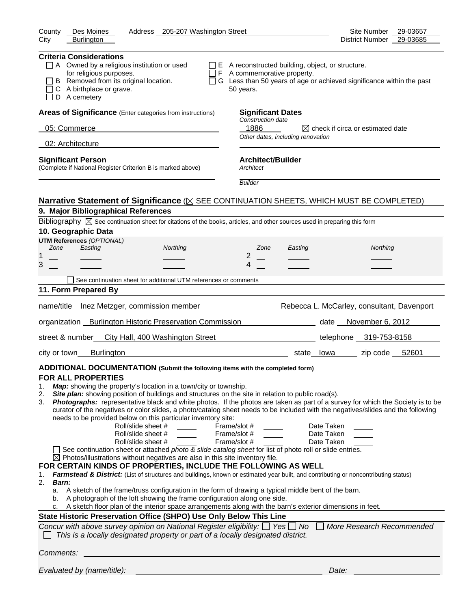| Address 205-207 Washington Street<br>County<br>Des Moines                                                                                                                                                                                                                                                                                                                                                                                                                                                                                                                                                                                                                                                                                                                                                                                                                                                                                                                                                                                                                                                                                                                                                                                                                                                                                                                                                                                                                                                                                                                                                                                                                                        | 29-03657<br>Site Number                                                                                                            |
|--------------------------------------------------------------------------------------------------------------------------------------------------------------------------------------------------------------------------------------------------------------------------------------------------------------------------------------------------------------------------------------------------------------------------------------------------------------------------------------------------------------------------------------------------------------------------------------------------------------------------------------------------------------------------------------------------------------------------------------------------------------------------------------------------------------------------------------------------------------------------------------------------------------------------------------------------------------------------------------------------------------------------------------------------------------------------------------------------------------------------------------------------------------------------------------------------------------------------------------------------------------------------------------------------------------------------------------------------------------------------------------------------------------------------------------------------------------------------------------------------------------------------------------------------------------------------------------------------------------------------------------------------------------------------------------------------|------------------------------------------------------------------------------------------------------------------------------------|
| City<br><b>Burlington</b>                                                                                                                                                                                                                                                                                                                                                                                                                                                                                                                                                                                                                                                                                                                                                                                                                                                                                                                                                                                                                                                                                                                                                                                                                                                                                                                                                                                                                                                                                                                                                                                                                                                                        | District Number<br>29-03685                                                                                                        |
| <b>Criteria Considerations</b><br>A Owned by a religious institution or used<br>for religious purposes.<br>$\Box$ F A commemorative property.<br>B Removed from its original location.<br>C A birthplace or grave.<br>50 years.<br>D A cemetery                                                                                                                                                                                                                                                                                                                                                                                                                                                                                                                                                                                                                                                                                                                                                                                                                                                                                                                                                                                                                                                                                                                                                                                                                                                                                                                                                                                                                                                  | $\Box$ E A reconstructed building, object, or structure.<br>□ G Less than 50 years of age or achieved significance within the past |
| Areas of Significance (Enter categories from instructions)<br><b>Significant Dates</b>                                                                                                                                                                                                                                                                                                                                                                                                                                                                                                                                                                                                                                                                                                                                                                                                                                                                                                                                                                                                                                                                                                                                                                                                                                                                                                                                                                                                                                                                                                                                                                                                           |                                                                                                                                    |
| Construction date<br>1886<br>05: Commerce                                                                                                                                                                                                                                                                                                                                                                                                                                                                                                                                                                                                                                                                                                                                                                                                                                                                                                                                                                                                                                                                                                                                                                                                                                                                                                                                                                                                                                                                                                                                                                                                                                                        | $\boxtimes$ check if circa or estimated date                                                                                       |
| 02: Architecture                                                                                                                                                                                                                                                                                                                                                                                                                                                                                                                                                                                                                                                                                                                                                                                                                                                                                                                                                                                                                                                                                                                                                                                                                                                                                                                                                                                                                                                                                                                                                                                                                                                                                 | Other dates, including renovation                                                                                                  |
| <b>Architect/Builder</b><br><b>Significant Person</b><br>(Complete if National Register Criterion B is marked above)<br>Architect                                                                                                                                                                                                                                                                                                                                                                                                                                                                                                                                                                                                                                                                                                                                                                                                                                                                                                                                                                                                                                                                                                                                                                                                                                                                                                                                                                                                                                                                                                                                                                |                                                                                                                                    |
| <b>Builder</b>                                                                                                                                                                                                                                                                                                                                                                                                                                                                                                                                                                                                                                                                                                                                                                                                                                                                                                                                                                                                                                                                                                                                                                                                                                                                                                                                                                                                                                                                                                                                                                                                                                                                                   |                                                                                                                                    |
| Narrative Statement of Significance ( $\boxtimes$ SEE CONTINUATION SHEETS, WHICH MUST BE COMPLETED)<br>9. Major Bibliographical References                                                                                                                                                                                                                                                                                                                                                                                                                                                                                                                                                                                                                                                                                                                                                                                                                                                                                                                                                                                                                                                                                                                                                                                                                                                                                                                                                                                                                                                                                                                                                       |                                                                                                                                    |
| Bibliography $\boxtimes$ See continuation sheet for citations of the books, articles, and other sources used in preparing this form                                                                                                                                                                                                                                                                                                                                                                                                                                                                                                                                                                                                                                                                                                                                                                                                                                                                                                                                                                                                                                                                                                                                                                                                                                                                                                                                                                                                                                                                                                                                                              |                                                                                                                                    |
| 10. Geographic Data                                                                                                                                                                                                                                                                                                                                                                                                                                                                                                                                                                                                                                                                                                                                                                                                                                                                                                                                                                                                                                                                                                                                                                                                                                                                                                                                                                                                                                                                                                                                                                                                                                                                              |                                                                                                                                    |
| <b>UTM References (OPTIONAL)</b>                                                                                                                                                                                                                                                                                                                                                                                                                                                                                                                                                                                                                                                                                                                                                                                                                                                                                                                                                                                                                                                                                                                                                                                                                                                                                                                                                                                                                                                                                                                                                                                                                                                                 |                                                                                                                                    |
| Zone<br>Easting<br>Northing<br>Zone                                                                                                                                                                                                                                                                                                                                                                                                                                                                                                                                                                                                                                                                                                                                                                                                                                                                                                                                                                                                                                                                                                                                                                                                                                                                                                                                                                                                                                                                                                                                                                                                                                                              | Northing<br>Easting                                                                                                                |
| 2<br>1<br>3<br>4                                                                                                                                                                                                                                                                                                                                                                                                                                                                                                                                                                                                                                                                                                                                                                                                                                                                                                                                                                                                                                                                                                                                                                                                                                                                                                                                                                                                                                                                                                                                                                                                                                                                                 |                                                                                                                                    |
|                                                                                                                                                                                                                                                                                                                                                                                                                                                                                                                                                                                                                                                                                                                                                                                                                                                                                                                                                                                                                                                                                                                                                                                                                                                                                                                                                                                                                                                                                                                                                                                                                                                                                                  |                                                                                                                                    |
| See continuation sheet for additional UTM references or comments                                                                                                                                                                                                                                                                                                                                                                                                                                                                                                                                                                                                                                                                                                                                                                                                                                                                                                                                                                                                                                                                                                                                                                                                                                                                                                                                                                                                                                                                                                                                                                                                                                 |                                                                                                                                    |
| 11. Form Prepared By                                                                                                                                                                                                                                                                                                                                                                                                                                                                                                                                                                                                                                                                                                                                                                                                                                                                                                                                                                                                                                                                                                                                                                                                                                                                                                                                                                                                                                                                                                                                                                                                                                                                             |                                                                                                                                    |
| name/title __ Inez Metzger, commission member                                                                                                                                                                                                                                                                                                                                                                                                                                                                                                                                                                                                                                                                                                                                                                                                                                                                                                                                                                                                                                                                                                                                                                                                                                                                                                                                                                                                                                                                                                                                                                                                                                                    | Rebecca L. McCarley, consultant, Davenport                                                                                         |
| organization Burlington Historic Preservation Commission                                                                                                                                                                                                                                                                                                                                                                                                                                                                                                                                                                                                                                                                                                                                                                                                                                                                                                                                                                                                                                                                                                                                                                                                                                                                                                                                                                                                                                                                                                                                                                                                                                         | date November 6, 2012                                                                                                              |
| street & number_ City Hall, 400 Washington Street                                                                                                                                                                                                                                                                                                                                                                                                                                                                                                                                                                                                                                                                                                                                                                                                                                                                                                                                                                                                                                                                                                                                                                                                                                                                                                                                                                                                                                                                                                                                                                                                                                                | telephone 319-753-8158                                                                                                             |
| <b>Burlington</b><br>city or town                                                                                                                                                                                                                                                                                                                                                                                                                                                                                                                                                                                                                                                                                                                                                                                                                                                                                                                                                                                                                                                                                                                                                                                                                                                                                                                                                                                                                                                                                                                                                                                                                                                                | 52601<br>zip code<br>state Iowa                                                                                                    |
| ADDITIONAL DOCUMENTATION (Submit the following items with the completed form)                                                                                                                                                                                                                                                                                                                                                                                                                                                                                                                                                                                                                                                                                                                                                                                                                                                                                                                                                                                                                                                                                                                                                                                                                                                                                                                                                                                                                                                                                                                                                                                                                    |                                                                                                                                    |
| <b>FOR ALL PROPERTIES</b><br>Map: showing the property's location in a town/city or township.<br>1.<br>Site plan: showing position of buildings and structures on the site in relation to public road(s).<br>2.<br>Photographs: representative black and white photos. If the photos are taken as part of a survey for which the Society is to be<br>3.<br>curator of the negatives or color slides, a photo/catalog sheet needs to be included with the negatives/slides and the following<br>needs to be provided below on this particular inventory site:<br>Roll/slide sheet #<br>Frame/slot #<br>Roll/slide sheet #<br>Frame/slot #<br>Roll/slide sheet #<br>Frame/slot #<br>See continuation sheet or attached photo & slide catalog sheet for list of photo roll or slide entries.<br>$\boxtimes$ Photos/illustrations without negatives are also in this site inventory file.<br>FOR CERTAIN KINDS OF PROPERTIES, INCLUDE THE FOLLOWING AS WELL<br>Farmstead & District: (List of structures and buildings, known or estimated year built, and contributing or noncontributing status)<br>1.<br>2.<br><b>Barn:</b><br>A sketch of the frame/truss configuration in the form of drawing a typical middle bent of the barn.<br>a.<br>A photograph of the loft showing the frame configuration along one side.<br>b.<br>A sketch floor plan of the interior space arrangements along with the barn's exterior dimensions in feet.<br>c.<br>State Historic Preservation Office (SHPO) Use Only Below This Line<br>Concur with above survey opinion on National Register eligibility: $\Box$ Yes $\Box$ No<br>This is a locally designated property or part of a locally designated district. | Date Taken<br>Date Taken<br>Date Taken<br>More Research Recommended                                                                |
| Comments:                                                                                                                                                                                                                                                                                                                                                                                                                                                                                                                                                                                                                                                                                                                                                                                                                                                                                                                                                                                                                                                                                                                                                                                                                                                                                                                                                                                                                                                                                                                                                                                                                                                                                        |                                                                                                                                    |
| Evaluated by (name/title):                                                                                                                                                                                                                                                                                                                                                                                                                                                                                                                                                                                                                                                                                                                                                                                                                                                                                                                                                                                                                                                                                                                                                                                                                                                                                                                                                                                                                                                                                                                                                                                                                                                                       | Date:                                                                                                                              |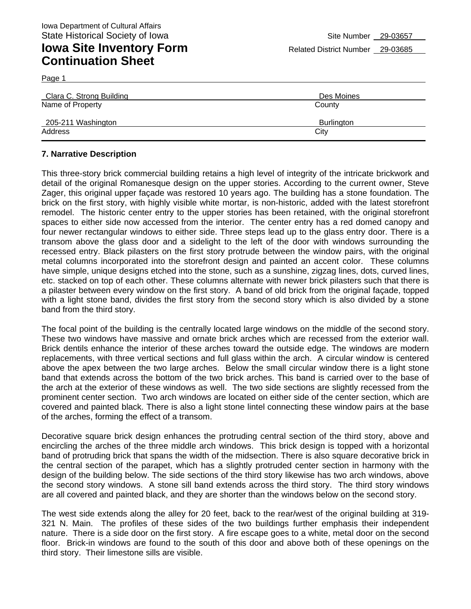| Clara C. Strong Building               | Des Moines           |
|----------------------------------------|----------------------|
| Name of Property<br>205-211 Washington | County<br>Burlington |
| Address                                | City                 |

#### **7. Narrative Description**

Page 1

This three-story brick commercial building retains a high level of integrity of the intricate brickwork and detail of the original Romanesque design on the upper stories. According to the current owner, Steve Zager, this original upper façade was restored 10 years ago. The building has a stone foundation. The brick on the first story, with highly visible white mortar, is non-historic, added with the latest storefront remodel. The historic center entry to the upper stories has been retained, with the original storefront spaces to either side now accessed from the interior. The center entry has a red domed canopy and four newer rectangular windows to either side. Three steps lead up to the glass entry door. There is a transom above the glass door and a sidelight to the left of the door with windows surrounding the recessed entry. Black pilasters on the first story protrude between the window pairs, with the original metal columns incorporated into the storefront design and painted an accent color. These columns have simple, unique designs etched into the stone, such as a sunshine, zigzag lines, dots, curved lines, etc. stacked on top of each other. These columns alternate with newer brick pilasters such that there is a pilaster between every window on the first story. A band of old brick from the original façade, topped with a light stone band, divides the first story from the second story which is also divided by a stone band from the third story.

The focal point of the building is the centrally located large windows on the middle of the second story. These two windows have massive and ornate brick arches which are recessed from the exterior wall. Brick dentils enhance the interior of these arches toward the outside edge. The windows are modern replacements, with three vertical sections and full glass within the arch. A circular window is centered above the apex between the two large arches. Below the small circular window there is a light stone band that extends across the bottom of the two brick arches. This band is carried over to the base of the arch at the exterior of these windows as well. The two side sections are slightly recessed from the prominent center section. Two arch windows are located on either side of the center section, which are covered and painted black. There is also a light stone lintel connecting these window pairs at the base of the arches, forming the effect of a transom.

Decorative square brick design enhances the protruding central section of the third story, above and encircling the arches of the three middle arch windows. This brick design is topped with a horizontal band of protruding brick that spans the width of the midsection. There is also square decorative brick in the central section of the parapet, which has a slightly protruded center section in harmony with the design of the building below. The side sections of the third story likewise has two arch windows, above the second story windows. A stone sill band extends across the third story. The third story windows are all covered and painted black, and they are shorter than the windows below on the second story.

The west side extends along the alley for 20 feet, back to the rear/west of the original building at 319- 321 N. Main. The profiles of these sides of the two buildings further emphasis their independent nature. There is a side door on the first story. A fire escape goes to a white, metal door on the second floor. Brick-in windows are found to the south of this door and above both of these openings on the third story. Their limestone sills are visible.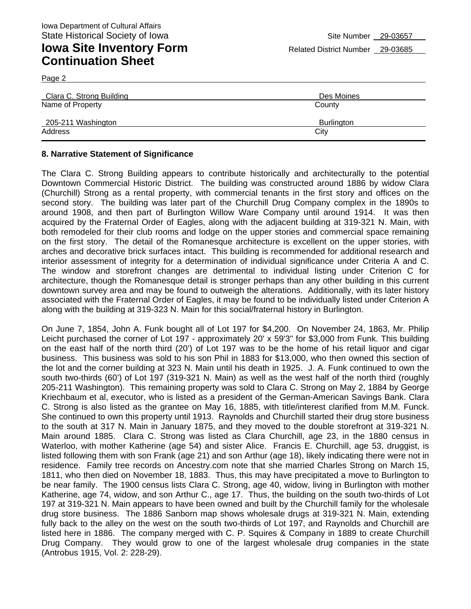Page 2

### **Iowa Site Inventory Form** Related District Number 29-03685 **Continuation Sheet**

| Clara C. Strong Building | Des Moines |
|--------------------------|------------|
| Name of Property         | County     |
| 205-211 Washington       | Burlington |
| Address                  | City       |

#### **8. Narrative Statement of Significance**

The Clara C. Strong Building appears to contribute historically and architecturally to the potential Downtown Commercial Historic District. The building was constructed around 1886 by widow Clara (Churchill) Strong as a rental property, with commercial tenants in the first story and offices on the second story. The building was later part of the Churchill Drug Company complex in the 1890s to around 1908, and then part of Burlington Willow Ware Company until around 1914. It was then acquired by the Fraternal Order of Eagles, along with the adjacent building at 319-321 N. Main, with both remodeled for their club rooms and lodge on the upper stories and commercial space remaining on the first story. The detail of the Romanesque architecture is excellent on the upper stories, with arches and decorative brick surfaces intact. This building is recommended for additional research and interior assessment of integrity for a determination of individual significance under Criteria A and C. The window and storefront changes are detrimental to individual listing under Criterion C for architecture, though the Romanesque detail is stronger perhaps than any other building in this current downtown survey area and may be found to outweigh the alterations. Additionally, with its later history associated with the Fraternal Order of Eagles, it may be found to be individually listed under Criterion A along with the building at 319-323 N. Main for this social/fraternal history in Burlington.

On June 7, 1854, John A. Funk bought all of Lot 197 for \$4,200. On November 24, 1863, Mr. Philip Leicht purchased the corner of Lot 197 - approximately 20' x 59'3" for \$3,000 from Funk. This building on the east half of the north third (20') of Lot 197 was to be the home of his retail liquor and cigar business. This business was sold to his son Phil in 1883 for \$13,000, who then owned this section of the lot and the corner building at 323 N. Main until his death in 1925. J. A. Funk continued to own the south two-thirds (60') of Lot 197 (319-321 N. Main) as well as the west half of the north third (roughly 205-211 Washington). This remaining property was sold to Clara C. Strong on May 2, 1884 by George Kriechbaum et al, executor, who is listed as a president of the German-American Savings Bank. Clara C. Strong is also listed as the grantee on May 16, 1885, with title/interest clarified from M.M. Funck. She continued to own this property until 1913. Raynolds and Churchill started their drug store business to the south at 317 N. Main in January 1875, and they moved to the double storefront at 319-321 N. Main around 1885. Clara C. Strong was listed as Clara Churchill, age 23, in the 1880 census in Waterloo, with mother Katherine (age 54) and sister Alice. Francis E. Churchill, age 53, druggist, is listed following them with son Frank (age 21) and son Arthur (age 18), likely indicating there were not in residence. Family tree records on Ancestry.com note that she married Charles Strong on March 15, 1811, who then died on November 18, 1883. Thus, this may have precipitated a move to Burlington to be near family. The 1900 census lists Clara C. Strong, age 40, widow, living in Burlington with mother Katherine, age 74, widow, and son Arthur C., age 17. Thus, the building on the south two-thirds of Lot 197 at 319-321 N. Main appears to have been owned and built by the Churchill family for the wholesale drug store business. The 1886 Sanborn map shows wholesale drugs at 319-321 N. Main, extending fully back to the alley on the west on the south two-thirds of Lot 197, and Raynolds and Churchill are listed here in 1886. The company merged with C. P. Squires & Company in 1889 to create Churchill Drug Company. They would grow to one of the largest wholesale drug companies in the state (Antrobus 1915, Vol. 2: 228-29).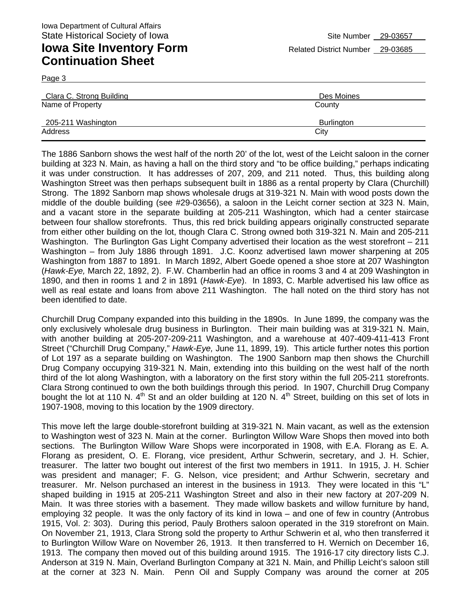Page 3

| Clara C. Strong Building | Des Moines        |
|--------------------------|-------------------|
| Name of Property         | County            |
| 205-211 Washington       | <b>Burlington</b> |
| Address                  | City              |

The 1886 Sanborn shows the west half of the north 20' of the lot, west of the Leicht saloon in the corner building at 323 N. Main, as having a hall on the third story and "to be office building," perhaps indicating it was under construction. It has addresses of 207, 209, and 211 noted. Thus, this building along Washington Street was then perhaps subsequent built in 1886 as a rental property by Clara (Churchill) Strong. The 1892 Sanborn map shows wholesale drugs at 319-321 N. Main with wood posts down the middle of the double building (see #29-03656), a saloon in the Leicht corner section at 323 N. Main, and a vacant store in the separate building at 205-211 Washington, which had a center staircase between four shallow storefronts. Thus, this red brick building appears originally constructed separate from either other building on the lot, though Clara C. Strong owned both 319-321 N. Main and 205-211 Washington. The Burlington Gas Light Company advertised their location as the west storefront – 211 Washington – from July 1886 through 1891. J.C. Koonz advertised lawn mower sharpening at 205 Washington from 1887 to 1891. In March 1892, Albert Goede opened a shoe store at 207 Washington (*Hawk-Eye,* March 22, 1892, 2). F.W. Chamberlin had an office in rooms 3 and 4 at 209 Washington in 1890, and then in rooms 1 and 2 in 1891 (*Hawk-Eye*). In 1893, C. Marble advertised his law office as well as real estate and loans from above 211 Washington. The hall noted on the third story has not been identified to date.

Churchill Drug Company expanded into this building in the 1890s. In June 1899, the company was the only exclusively wholesale drug business in Burlington. Their main building was at 319-321 N. Main, with another building at 205-207-209-211 Washington, and a warehouse at 407-409-411-413 Front Street ("Churchill Drug Company," *Hawk-Eye,* June 11, 1899, 19). This article further notes this portion of Lot 197 as a separate building on Washington. The 1900 Sanborn map then shows the Churchill Drug Company occupying 319-321 N. Main, extending into this building on the west half of the north third of the lot along Washington, with a laboratory on the first story within the full 205-211 storefronts. Clara Strong continued to own the both buildings through this period. In 1907, Churchill Drug Company bought the lot at 110 N.  $4^{\text{th}}$  St and an older building at 120 N.  $4^{\text{th}}$  Street, building on this set of lots in 1907-1908, moving to this location by the 1909 directory.

This move left the large double-storefront building at 319-321 N. Main vacant, as well as the extension to Washington west of 323 N. Main at the corner. Burlington Willow Ware Shops then moved into both sections. The Burlington Willow Ware Shops were incorporated in 1908, with E.A. Florang as E. A. Florang as president, O. E. Florang, vice president, Arthur Schwerin, secretary, and J. H. Schier, treasurer. The latter two bought out interest of the first two members in 1911. In 1915, J. H. Schier was president and manager; F. G. Nelson, vice president; and Arthur Schwerin, secretary and treasurer. Mr. Nelson purchased an interest in the business in 1913. They were located in this "L" shaped building in 1915 at 205-211 Washington Street and also in their new factory at 207-209 N. Main. It was three stories with a basement. They made willow baskets and willow furniture by hand, employing 32 people. It was the only factory of its kind in Iowa – and one of few in country (Antrobus 1915, Vol. 2: 303). During this period, Pauly Brothers saloon operated in the 319 storefront on Main. On November 21, 1913, Clara Strong sold the property to Arthur Schwerin et al, who then transferred it to Burlington Willow Ware on November 26, 1913. It then transferred to H. Wernich on December 16, 1913. The company then moved out of this building around 1915. The 1916-17 city directory lists C.J. Anderson at 319 N. Main, Overland Burlington Company at 321 N. Main, and Phillip Leicht's saloon still at the corner at 323 N. Main. Penn Oil and Supply Company was around the corner at 205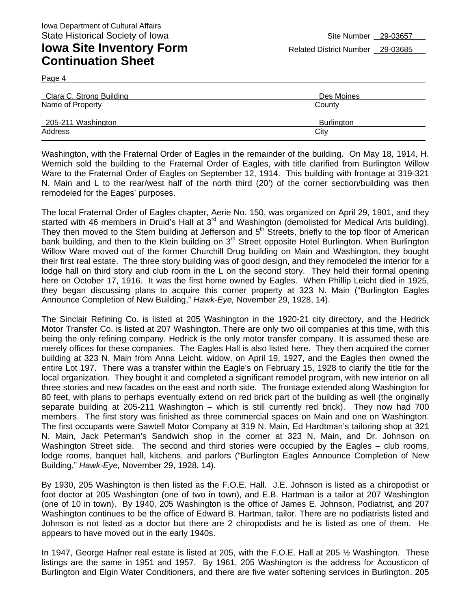Page 4

| Clara C. Strong Building               | Des Moines           |
|----------------------------------------|----------------------|
| Name of Property<br>205-211 Washington | County<br>Burlington |
| Address                                | City                 |

Washington, with the Fraternal Order of Eagles in the remainder of the building. On May 18, 1914, H. Wernich sold the building to the Fraternal Order of Eagles, with title clarified from Burlington Willow Ware to the Fraternal Order of Eagles on September 12, 1914. This building with frontage at 319-321 N. Main and L to the rear/west half of the north third (20') of the corner section/building was then remodeled for the Eages' purposes.

The local Fraternal Order of Eagles chapter, Aerie No. 150, was organized on April 29, 1901, and they started with 46 members in Druid's Hall at 3<sup>rd</sup> and Washington (demolisted for Medical Arts building). They then moved to the Stern building at Jefferson and 5<sup>th</sup> Streets, briefly to the top floor of American bank building, and then to the Klein building on 3<sup>rd</sup> Street opposite Hotel Burlington. When Burlington Willow Ware moved out of the former Churchill Drug building on Main and Washington, they bought their first real estate. The three story building was of good design, and they remodeled the interior for a lodge hall on third story and club room in the L on the second story. They held their formal opening here on October 17, 1916. It was the first home owned by Eagles. When Phillip Leicht died in 1925, they began discussing plans to acquire this corner property at 323 N. Main ("Burlington Eagles Announce Completion of New Building," *Hawk-Eye,* November 29, 1928, 14).

The Sinclair Refining Co. is listed at 205 Washington in the 1920-21 city directory, and the Hedrick Motor Transfer Co. is listed at 207 Washington. There are only two oil companies at this time, with this being the only refining company. Hedrick is the only motor transfer company. It is assumed these are merely offices for these companies. The Eagles Hall is also listed here. They then acquired the corner building at 323 N. Main from Anna Leicht, widow, on April 19, 1927, and the Eagles then owned the entire Lot 197. There was a transfer within the Eagle's on February 15, 1928 to clarify the title for the local organization. They bought it and completed a significant remodel program, with new interior on all three stories and new facades on the east and north side. The frontage extended along Washington for 80 feet, with plans to perhaps eventually extend on red brick part of the building as well (the originally separate building at 205-211 Washington – which is still currently red brick). They now had 700 members. The first story was finished as three commercial spaces on Main and one on Washington. The first occupants were Sawtell Motor Company at 319 N. Main, Ed Hardtman's tailoring shop at 321 N. Main, Jack Peterman's Sandwich shop in the corner at 323 N. Main, and Dr. Johnson on Washington Street side. The second and third stories were occupied by the Eagles – club rooms, lodge rooms, banquet hall, kitchens, and parlors ("Burlington Eagles Announce Completion of New Building," *Hawk-Eye,* November 29, 1928, 14).

By 1930, 205 Washington is then listed as the F.O.E. Hall. J.E. Johnson is listed as a chiropodist or foot doctor at 205 Washington (one of two in town), and E.B. Hartman is a tailor at 207 Washington (one of 10 in town). By 1940, 205 Washington is the office of James E. Johnson, Podiatrist, and 207 Washington continues to be the office of Edward B. Hartman, tailor. There are no podiatrists listed and Johnson is not listed as a doctor but there are 2 chiropodists and he is listed as one of them. He appears to have moved out in the early 1940s.

In 1947, George Hafner real estate is listed at 205, with the F.O.E. Hall at 205 ½ Washington. These listings are the same in 1951 and 1957. By 1961, 205 Washington is the address for Acousticon of Burlington and Elgin Water Conditioners, and there are five water softening services in Burlington. 205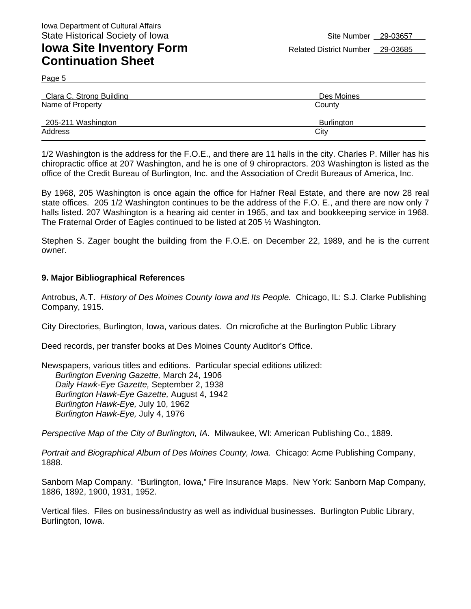Page 5

| Clara C. Strong Building | Des Moines |
|--------------------------|------------|
| Name of Property         | County     |
| 205-211 Washington       | Burlington |
| Address                  | City       |

1/2 Washington is the address for the F.O.E., and there are 11 halls in the city. Charles P. Miller has his chiropractic office at 207 Washington, and he is one of 9 chiropractors. 203 Washington is listed as the office of the Credit Bureau of Burlington, Inc. and the Association of Credit Bureaus of America, Inc.

By 1968, 205 Washington is once again the office for Hafner Real Estate, and there are now 28 real state offices. 205 1/2 Washington continues to be the address of the F.O. E., and there are now only 7 halls listed. 207 Washington is a hearing aid center in 1965, and tax and bookkeeping service in 1968. The Fraternal Order of Eagles continued to be listed at 205 ½ Washington.

Stephen S. Zager bought the building from the F.O.E. on December 22, 1989, and he is the current owner.

#### **9. Major Bibliographical References**

Antrobus, A.T. *History of Des Moines County Iowa and Its People.* Chicago, IL: S.J. Clarke Publishing Company, 1915.

City Directories, Burlington, Iowa, various dates. On microfiche at the Burlington Public Library

Deed records, per transfer books at Des Moines County Auditor's Office.

Newspapers, various titles and editions. Particular special editions utilized: *Burlington Evening Gazette,* March 24, 1906 *Daily Hawk-Eye Gazette,* September 2, 1938 *Burlington Hawk-Eye Gazette,* August 4, 1942 *Burlington Hawk-Eye,* July 10, 1962 *Burlington Hawk-Eye,* July 4, 1976

*Perspective Map of the City of Burlington, IA.* Milwaukee, WI: American Publishing Co., 1889.

*Portrait and Biographical Album of Des Moines County, Iowa.* Chicago: Acme Publishing Company, 1888.

Sanborn Map Company. "Burlington, Iowa," Fire Insurance Maps. New York: Sanborn Map Company, 1886, 1892, 1900, 1931, 1952.

Vertical files. Files on business/industry as well as individual businesses. Burlington Public Library, Burlington, Iowa.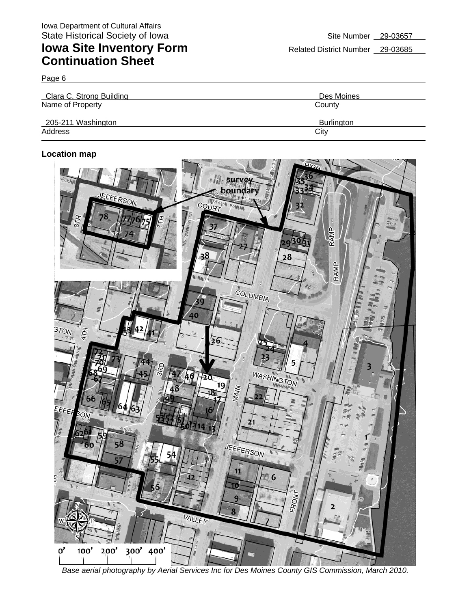Page 6

| Clara C. Strong Building | Des Moines |
|--------------------------|------------|
| Name of Property         | County     |
| 205-211 Washington       | Burlington |
| Address                  | City       |

#### **Location map**



*Base aerial photography by Aerial Services Inc for Des Moines County GIS Commission, March 2010.*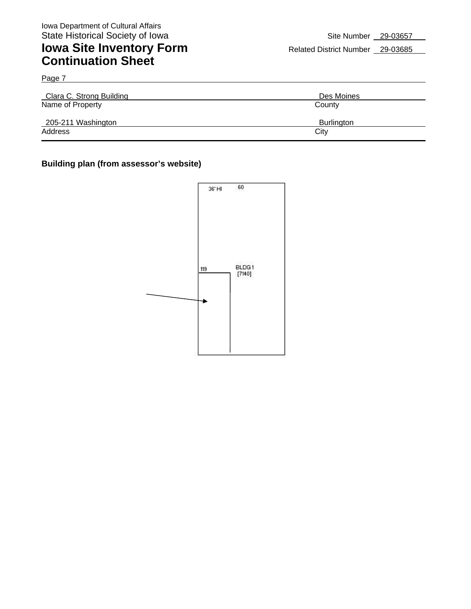| Clara C. Strong Building | Des Moines |
|--------------------------|------------|
| Name of Property         | County     |
| 205-211 Washington       | Burlington |
| Address                  | City       |

#### **Building plan (from assessor's website)**

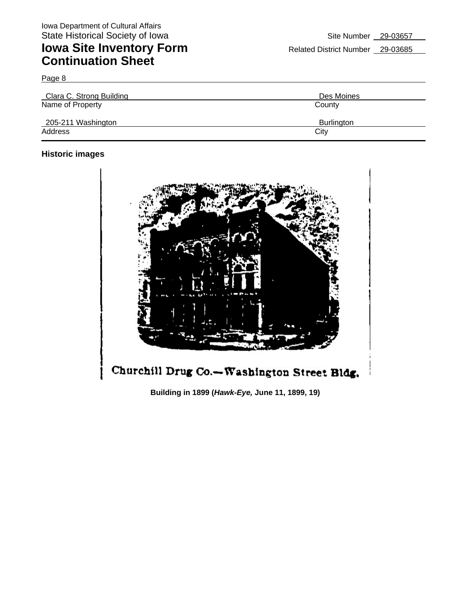| Clara C. Strong Building | Des Moines |
|--------------------------|------------|
| Name of Property         | County     |
| 205-211 Washington       | Burlington |
| Address                  | City       |

#### **Historic images**

Page 8



**Building in 1899 (***Hawk-Eye,* **June 11, 1899, 19)**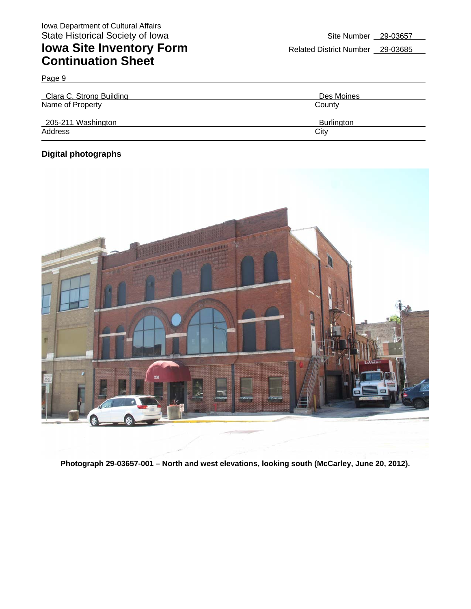| Clara C. Strong Building | Des Moines |
|--------------------------|------------|
| Name of Property         | County     |
| 205-211 Washington       | Burlington |
| Address                  | City       |

#### **Digital photographs**

Page 9



**Photograph 29-03657-001 – North and west elevations, looking south (McCarley, June 20, 2012).**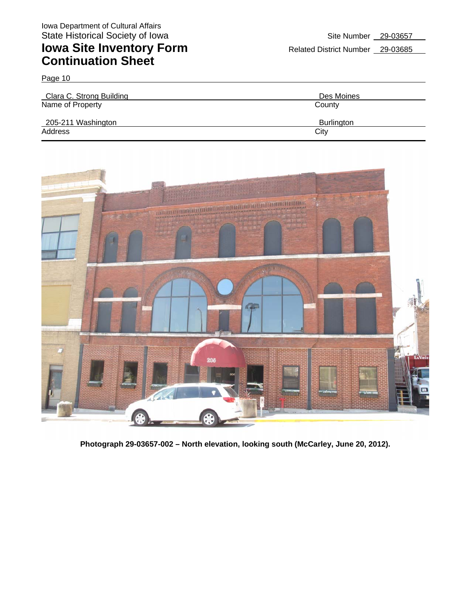Page 10

| Clara C. Strong Building | Des Moines |
|--------------------------|------------|
| Name of Property         | County     |
| 205-211 Washington       | Burlington |
| Address                  | City       |



**Photograph 29-03657-002 – North elevation, looking south (McCarley, June 20, 2012).**